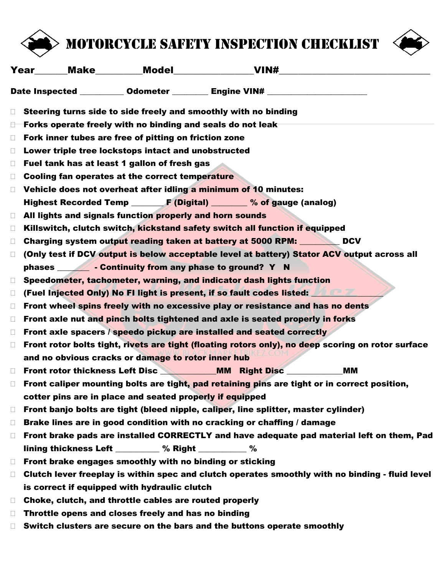

## Motorcycle safety inspection checklist



|                                                                                                              |                                                                                                 |                                                          | <b>Year</b> Make Model VIN#                                                                 |           |  |
|--------------------------------------------------------------------------------------------------------------|-------------------------------------------------------------------------------------------------|----------------------------------------------------------|---------------------------------------------------------------------------------------------|-----------|--|
|                                                                                                              |                                                                                                 |                                                          | Date Inspected ___________ Odometer _________ Engine VIN# ______________________            |           |  |
| $\Box$                                                                                                       |                                                                                                 |                                                          | Steering turns side to side freely and smoothly with no binding                             |           |  |
| $\Box$                                                                                                       | Forks operate freely with no binding and seals do not leak                                      |                                                          |                                                                                             |           |  |
| $\Box$                                                                                                       |                                                                                                 | Fork inner tubes are free of pitting on friction zone    |                                                                                             |           |  |
| $\Box$                                                                                                       |                                                                                                 | Lower triple tree lockstops intact and unobstructed      |                                                                                             |           |  |
| $\Box$                                                                                                       |                                                                                                 | Fuel tank has at least 1 gallon of fresh gas             |                                                                                             |           |  |
| $\Box$                                                                                                       | Cooling fan operates at the correct temperature                                                 |                                                          |                                                                                             |           |  |
| $\Box$                                                                                                       |                                                                                                 |                                                          | Vehicle does not overheat after idling a minimum of 10 minutes:                             |           |  |
|                                                                                                              |                                                                                                 |                                                          | Highest Recorded Temp F (Digital) _______ % of gauge (analog)                               |           |  |
| $\Box$                                                                                                       |                                                                                                 | All lights and signals function properly and horn sounds |                                                                                             |           |  |
| $\Box$                                                                                                       |                                                                                                 |                                                          | Killswitch, clutch switch, kickstand safety switch all function if equipped                 |           |  |
| $\Box$                                                                                                       |                                                                                                 |                                                          | Charging system output reading taken at battery at 5000 RPM: DCV                            |           |  |
| $\Box$                                                                                                       |                                                                                                 |                                                          | (Only test if DCV output is below acceptable level at battery) Stator ACV output across all |           |  |
|                                                                                                              |                                                                                                 |                                                          |                                                                                             |           |  |
| $\Box$                                                                                                       |                                                                                                 |                                                          | Speedometer, tachometer, warning, and indicator dash lights function                        |           |  |
| $\Box$                                                                                                       | (Fuel Injected Only) No FI light is present, if so fault codes listed: Aller                    |                                                          |                                                                                             |           |  |
| $\Box$                                                                                                       | Front wheel spins freely with no excessive play or resistance and has no dents                  |                                                          |                                                                                             |           |  |
| $\Box$                                                                                                       |                                                                                                 |                                                          | Front axle nut and pinch bolts tightened and axle is seated properly in forks               |           |  |
| $\Box$                                                                                                       |                                                                                                 |                                                          | Front axle spacers / speedo pickup are installed and seated correctly                       |           |  |
| Front rotor bolts tight, rivets are tight (floating rotors only), no deep scoring on rotor surface<br>$\Box$ |                                                                                                 |                                                          |                                                                                             |           |  |
|                                                                                                              |                                                                                                 | and no obvious cracks or damage to rotor inner hub       |                                                                                             |           |  |
| $\Box$                                                                                                       |                                                                                                 |                                                          |                                                                                             | <b>MM</b> |  |
| Front caliper mounting bolts are tight, pad retaining pins are tight or in correct position,<br>П            |                                                                                                 |                                                          |                                                                                             |           |  |
|                                                                                                              |                                                                                                 | cotter pins are in place and seated properly if equipped |                                                                                             |           |  |
| $\Box$                                                                                                       | Front banjo bolts are tight (bleed nipple, caliper, line splitter, master cylinder)             |                                                          |                                                                                             |           |  |
| $\Box$                                                                                                       | Brake lines are in good condition with no cracking or chaffing / damage                         |                                                          |                                                                                             |           |  |
| $\Box$                                                                                                       | Front brake pads are installed CORRECTLY and have adequate pad material left on them, Pad       |                                                          |                                                                                             |           |  |
|                                                                                                              |                                                                                                 | lining thickness Left _________ % Right _________ %      |                                                                                             |           |  |
| $\Box$                                                                                                       |                                                                                                 | Front brake engages smoothly with no binding or sticking |                                                                                             |           |  |
| $\Box$                                                                                                       | Clutch lever freeplay is within spec and clutch operates smoothly with no binding - fluid level |                                                          |                                                                                             |           |  |
|                                                                                                              |                                                                                                 | is correct if equipped with hydraulic clutch             |                                                                                             |           |  |
| $\Box$                                                                                                       |                                                                                                 | Choke, clutch, and throttle cables are routed properly   |                                                                                             |           |  |
| $\Box$                                                                                                       |                                                                                                 | Throttle opens and closes freely and has no binding      |                                                                                             |           |  |
| $\Box$                                                                                                       |                                                                                                 |                                                          | Switch clusters are secure on the bars and the buttons operate smoothly                     |           |  |
|                                                                                                              |                                                                                                 |                                                          |                                                                                             |           |  |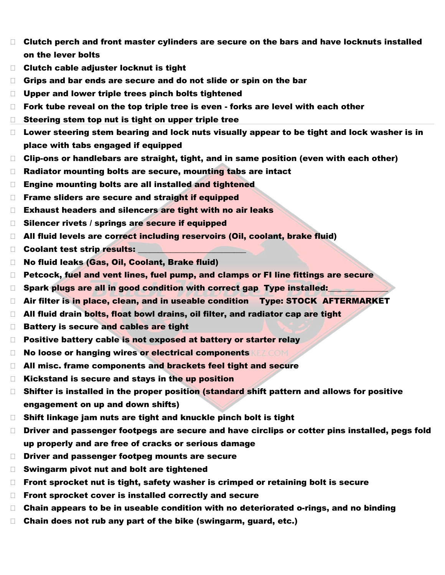- Clutch perch and front master cylinders are secure on the bars and have locknuts installed on the lever bolts
- □ Clutch cable adjuster locknut is tight
- Grips and bar ends are secure and do not slide or spin on the bar
- □ Upper and lower triple trees pinch bolts tightened
- □ Fork tube reveal on the top triple tree is even forks are level with each other
- □ Steering stem top nut is tight on upper triple tree
- $\Box$  Lower steering stem bearing and lock nuts visually appear to be tight and lock washer is in place with tabs engaged if equipped
- □ Clip-ons or handlebars are straight, tight, and in same position (even with each other)
- □ Radiator mounting bolts are secure, mounting tabs are intact
- □ Engine mounting bolts are all installed and tightened
- $\Box$  Frame sliders are secure and straight if equipped
- $\Box$  Exhaust headers and silencers are tight with no air leaks
- **Silencer rivets / springs are secure if equipped**
- □ All fluid levels are correct including reservoirs (Oil, coolant, brake fluid)
- □ Coolant test strip results:
- □ No fluid leaks (Gas, Oil, Coolant, Brake fluid)
- □ Petcock, fuel and vent lines, fuel pump, and clamps or FI line fittings are secure
- $\Box$  Spark plugs are all in good condition with correct gap Type installed:
- □ Air filter is in place, clean, and in useable condition Type: STOCK AFTERMARKET
- $\Box$  All fluid drain bolts, float bowl drains, oil filter, and radiator cap are tight
- Battery is secure and cables are tight
- $\Box$  Positive battery cable is not exposed at battery or starter relay
- **No loose or hanging wires or electrical components REZCOM**
- □ All misc. frame components and brackets feel tight and secure
- $\Box$  Kickstand is secure and stays in the up position
- $\Box$  Shifter is installed in the proper position (standard shift pattern and allows for positive engagement on up and down shifts)
- $\Box$  Shift linkage jam nuts are tight and knuckle pinch bolt is tight
- □ Driver and passenger footpegs are secure and have circlips or cotter pins installed, pegs fold up properly and are free of cracks or serious damage
- □ Driver and passenger footpeg mounts are secure
- $\Box$  Swingarm pivot nut and bolt are tightened
- $\Box$  Front sprocket nut is tight, safety washer is crimped or retaining bolt is secure
- □ Front sprocket cover is installed correctly and secure
- $\Box$  Chain appears to be in useable condition with no deteriorated o-rings, and no binding
- □ Chain does not rub any part of the bike (swingarm, guard, etc.)